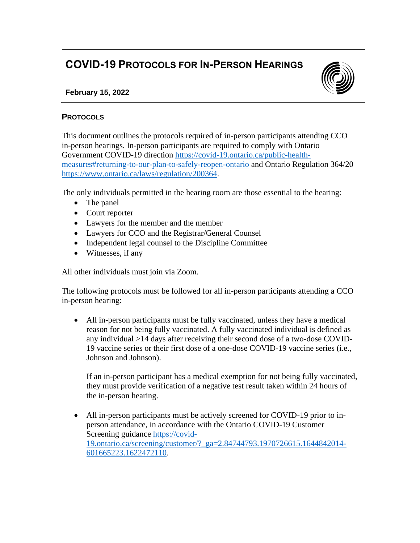## **COVID-19 PROTOCOLS FOR IN-PERSON HEARINGS**



## **February 15, 2022**

## **PROTOCOLS**

This document outlines the protocols required of in-person participants attending CCO in-person hearings. In-person participants are required to comply with Ontario Government COVID-19 direction [https://covid-19.ontario.ca/public-health](https://covid-19.ontario.ca/public-health-measures#returning-to-our-plan-to-safely-reopen-ontario)[measures#returning-to-our-plan-to-safely-reopen-ontario](https://covid-19.ontario.ca/public-health-measures#returning-to-our-plan-to-safely-reopen-ontario) and Ontario Regulation 364/20 [https://www.ontario.ca/laws/regulation/200364.](https://www.ontario.ca/laws/regulation/200364)

The only individuals permitted in the hearing room are those essential to the hearing:

- The panel
- Court reporter
- Lawyers for the member and the member
- Lawyers for CCO and the Registrar/General Counsel
- Independent legal counsel to the Discipline Committee
- Witnesses, if any

All other individuals must join via Zoom.

The following protocols must be followed for all in-person participants attending a CCO in-person hearing:

• All in-person participants must be fully vaccinated, unless they have a medical reason for not being fully vaccinated. A fully vaccinated individual is defined as any individual >14 days after receiving their second dose of a two-dose COVID-19 vaccine series or their first dose of a one-dose COVID-19 vaccine series (i.e., Johnson and Johnson).

If an in-person participant has a medical exemption for not being fully vaccinated, they must provide verification of a negative test result taken within 24 hours of the in-person hearing.

• All in-person participants must be actively screened for COVID-19 prior to inperson attendance, in accordance with the Ontario COVID-19 Customer Screening guidance [https://covid-](https://covid-19.ontario.ca/screening/customer/?_ga=2.84744793.1970726615.1644842014-601665223.1622472110)[19.ontario.ca/screening/customer/?\\_ga=2.84744793.1970726615.1644842014-](https://covid-19.ontario.ca/screening/customer/?_ga=2.84744793.1970726615.1644842014-601665223.1622472110) [601665223.1622472110.](https://covid-19.ontario.ca/screening/customer/?_ga=2.84744793.1970726615.1644842014-601665223.1622472110)